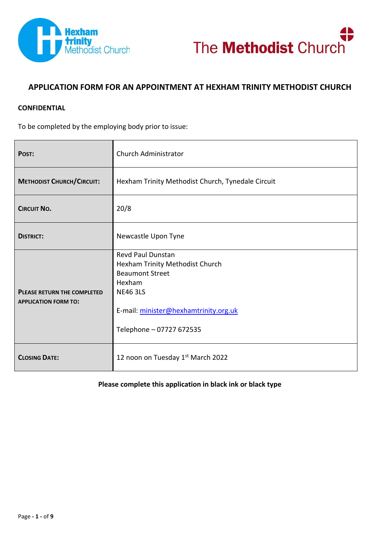



# **APPLICATION FORM FOR AN APPOINTMENT AT HEXHAM TRINITY METHODIST CHURCH**

#### **CONFIDENTIAL**

To be completed by the employing body prior to issue:

| POST:                                                             | <b>Church Administrator</b>                                                                                                                                                      |  |  |
|-------------------------------------------------------------------|----------------------------------------------------------------------------------------------------------------------------------------------------------------------------------|--|--|
| <b>METHODIST CHURCH/CIRCUIT:</b>                                  | Hexham Trinity Methodist Church, Tynedale Circuit                                                                                                                                |  |  |
| <b>CIRCUIT NO.</b>                                                | 20/8                                                                                                                                                                             |  |  |
| <b>DISTRICT:</b>                                                  | Newcastle Upon Tyne                                                                                                                                                              |  |  |
| <b>PLEASE RETURN THE COMPLETED</b><br><b>APPLICATION FORM TO:</b> | Revd Paul Dunstan<br>Hexham Trinity Methodist Church<br><b>Beaumont Street</b><br>Hexham<br><b>NE46 3LS</b><br>E-mail: minister@hexhamtrinity.org.uk<br>Telephone - 07727 672535 |  |  |
| <b>CLOSING DATE:</b>                                              | 12 noon on Tuesday 1st March 2022                                                                                                                                                |  |  |

#### **Please complete this application in black ink or black type**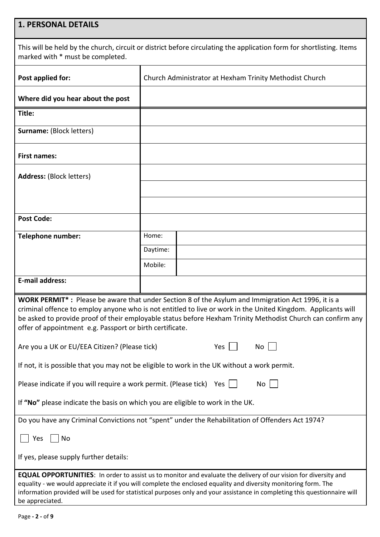# **1. PERSONAL DETAILS**

This will be held by the church, circuit or district before circulating the application form for shortlisting. Items marked with \* must be completed.

| Post applied for:                                                                                                                                                                                                                                                                                                                                                                                                                                                                                                                                                                                                                                                                                                                                                                                                                 | Church Administrator at Hexham Trinity Methodist Church |  |  |
|-----------------------------------------------------------------------------------------------------------------------------------------------------------------------------------------------------------------------------------------------------------------------------------------------------------------------------------------------------------------------------------------------------------------------------------------------------------------------------------------------------------------------------------------------------------------------------------------------------------------------------------------------------------------------------------------------------------------------------------------------------------------------------------------------------------------------------------|---------------------------------------------------------|--|--|
| Where did you hear about the post                                                                                                                                                                                                                                                                                                                                                                                                                                                                                                                                                                                                                                                                                                                                                                                                 |                                                         |  |  |
| Title:                                                                                                                                                                                                                                                                                                                                                                                                                                                                                                                                                                                                                                                                                                                                                                                                                            |                                                         |  |  |
| <b>Surname: (Block letters)</b>                                                                                                                                                                                                                                                                                                                                                                                                                                                                                                                                                                                                                                                                                                                                                                                                   |                                                         |  |  |
| <b>First names:</b>                                                                                                                                                                                                                                                                                                                                                                                                                                                                                                                                                                                                                                                                                                                                                                                                               |                                                         |  |  |
| <b>Address: (Block letters)</b>                                                                                                                                                                                                                                                                                                                                                                                                                                                                                                                                                                                                                                                                                                                                                                                                   |                                                         |  |  |
|                                                                                                                                                                                                                                                                                                                                                                                                                                                                                                                                                                                                                                                                                                                                                                                                                                   |                                                         |  |  |
|                                                                                                                                                                                                                                                                                                                                                                                                                                                                                                                                                                                                                                                                                                                                                                                                                                   |                                                         |  |  |
| <b>Post Code:</b>                                                                                                                                                                                                                                                                                                                                                                                                                                                                                                                                                                                                                                                                                                                                                                                                                 |                                                         |  |  |
| <b>Telephone number:</b>                                                                                                                                                                                                                                                                                                                                                                                                                                                                                                                                                                                                                                                                                                                                                                                                          | Home:                                                   |  |  |
|                                                                                                                                                                                                                                                                                                                                                                                                                                                                                                                                                                                                                                                                                                                                                                                                                                   | Daytime:                                                |  |  |
|                                                                                                                                                                                                                                                                                                                                                                                                                                                                                                                                                                                                                                                                                                                                                                                                                                   | Mobile:                                                 |  |  |
| <b>E-mail address:</b>                                                                                                                                                                                                                                                                                                                                                                                                                                                                                                                                                                                                                                                                                                                                                                                                            |                                                         |  |  |
| WORK PERMIT*: Please be aware that under Section 8 of the Asylum and Immigration Act 1996, it is a<br>criminal offence to employ anyone who is not entitled to live or work in the United Kingdom. Applicants will<br>be asked to provide proof of their employable status before Hexham Trinity Methodist Church can confirm any<br>offer of appointment e.g. Passport or birth certificate.<br>Are you a UK or EU/EEA Citizen? (Please tick)<br>Yes<br>No<br>If not, it is possible that you may not be eligible to work in the UK without a work permit.<br>Please indicate if you will require a work permit. (Please tick) Yes  <br>No<br>If "No" please indicate the basis on which you are eligible to work in the UK.<br>Do you have any Criminal Convictions not "spent" under the Rehabilitation of Offenders Act 1974? |                                                         |  |  |
|                                                                                                                                                                                                                                                                                                                                                                                                                                                                                                                                                                                                                                                                                                                                                                                                                                   |                                                         |  |  |
| No<br>Yes<br>If yes, please supply further details:                                                                                                                                                                                                                                                                                                                                                                                                                                                                                                                                                                                                                                                                                                                                                                               |                                                         |  |  |
| <b>EQUAL OPPORTUNITIES:</b> In order to assist us to monitor and evaluate the delivery of our vision for diversity and<br>equality - we would appreciate it if you will complete the enclosed equality and diversity monitoring form. The<br>information provided will be used for statistical purposes only and your assistance in completing this questionnaire will<br>be appreciated.                                                                                                                                                                                                                                                                                                                                                                                                                                         |                                                         |  |  |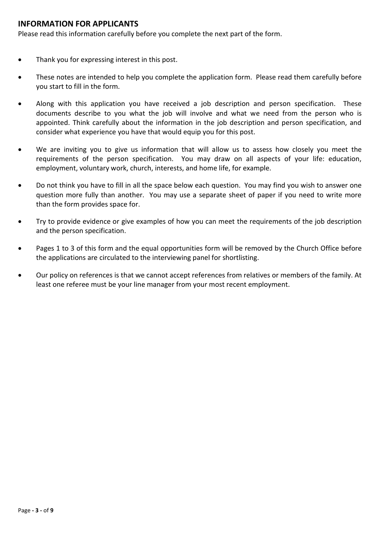#### **INFORMATION FOR APPLICANTS**

Please read this information carefully before you complete the next part of the form.

- Thank you for expressing interest in this post.
- These notes are intended to help you complete the application form. Please read them carefully before you start to fill in the form.
- Along with this application you have received a job description and person specification. These documents describe to you what the job will involve and what we need from the person who is appointed. Think carefully about the information in the job description and person specification, and consider what experience you have that would equip you for this post.
- We are inviting you to give us information that will allow us to assess how closely you meet the requirements of the person specification. You may draw on all aspects of your life: education, employment, voluntary work, church, interests, and home life, for example.
- Do not think you have to fill in all the space below each question. You may find you wish to answer one question more fully than another. You may use a separate sheet of paper if you need to write more than the form provides space for.
- Try to provide evidence or give examples of how you can meet the requirements of the job description and the person specification.
- Pages 1 to 3 of this form and the equal opportunities form will be removed by the Church Office before the applications are circulated to the interviewing panel for shortlisting.
- Our policy on references is that we cannot accept references from relatives or members of the family. At least one referee must be your line manager from your most recent employment.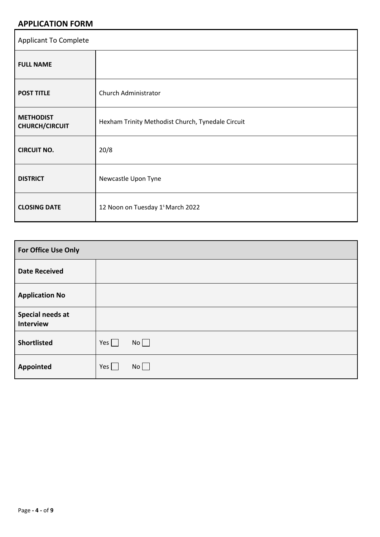# **APPLICATION FORM**

| <b>Applicant To Complete</b>              |                                                   |  |
|-------------------------------------------|---------------------------------------------------|--|
| <b>FULL NAME</b>                          |                                                   |  |
| <b>POST TITLE</b>                         | Church Administrator                              |  |
| <b>METHODIST</b><br><b>CHURCH/CIRCUIT</b> | Hexham Trinity Methodist Church, Tynedale Circuit |  |
| <b>CIRCUIT NO.</b>                        | 20/8                                              |  |
| <b>DISTRICT</b>                           | Newcastle Upon Tyne                               |  |
| <b>CLOSING DATE</b>                       | 12 Noon on Tuesday 1 <sup>s</sup> March 2022      |  |

| For Office Use Only           |                   |  |
|-------------------------------|-------------------|--|
| <b>Date Received</b>          |                   |  |
| <b>Application No</b>         |                   |  |
| Special needs at<br>Interview |                   |  |
| <b>Shortlisted</b>            | No<br>Yes $\vert$ |  |
| <b>Appointed</b>              | No<br>Yes $\vert$ |  |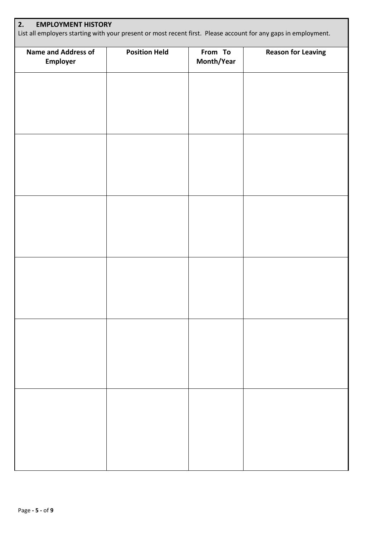| 2.<br><b>EMPLOYMENT HISTORY</b><br>List all employers starting with your present or most recent first. Please account for any gaps in employment. |                      |                       |                           |  |
|---------------------------------------------------------------------------------------------------------------------------------------------------|----------------------|-----------------------|---------------------------|--|
| <b>Name and Address of</b><br><b>Employer</b>                                                                                                     | <b>Position Held</b> | From To<br>Month/Year | <b>Reason for Leaving</b> |  |
|                                                                                                                                                   |                      |                       |                           |  |
|                                                                                                                                                   |                      |                       |                           |  |
|                                                                                                                                                   |                      |                       |                           |  |
|                                                                                                                                                   |                      |                       |                           |  |
|                                                                                                                                                   |                      |                       |                           |  |
|                                                                                                                                                   |                      |                       |                           |  |
|                                                                                                                                                   |                      |                       |                           |  |
|                                                                                                                                                   |                      |                       |                           |  |
|                                                                                                                                                   |                      |                       |                           |  |
|                                                                                                                                                   |                      |                       |                           |  |
|                                                                                                                                                   |                      |                       |                           |  |
|                                                                                                                                                   |                      |                       |                           |  |
|                                                                                                                                                   |                      |                       |                           |  |
|                                                                                                                                                   |                      |                       |                           |  |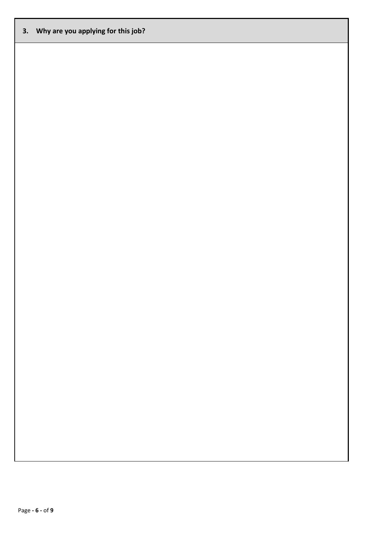## **3. Why are you applying for this job?**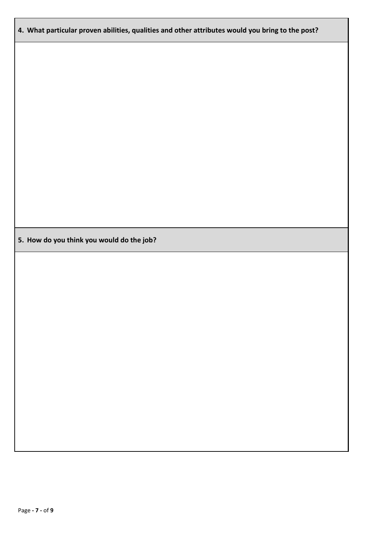## **4. What particular proven abilities, qualities and other attributes would you bring to the post?**

**5. How do you think you would do the job?**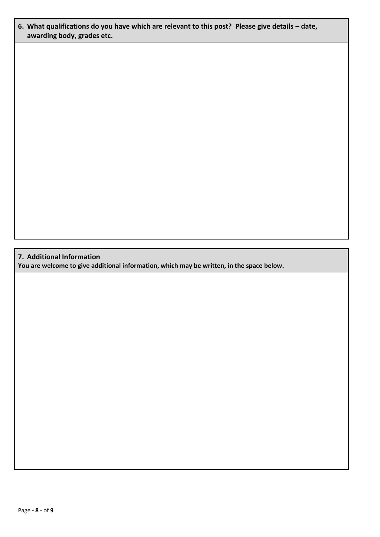## **6. What qualifications do you have which are relevant to this post? Please give details – date, awarding body, grades etc.**

#### **7. Additional Information**

**You are welcome to give additional information, which may be written, in the space below.**